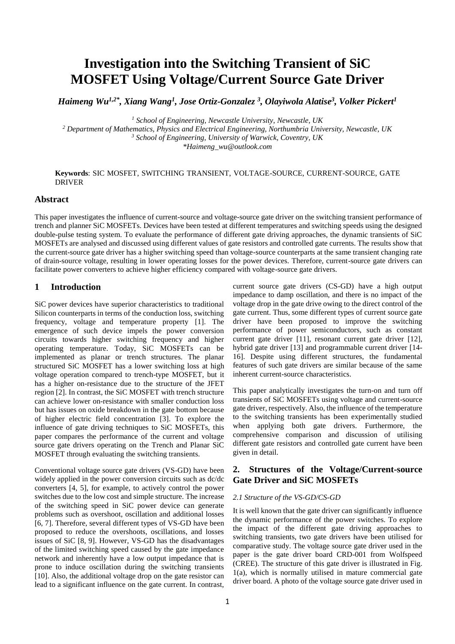# **Investigation into the Switching Transient of SiC MOSFET Using Voltage/Current Source Gate Driver**

*Haimeng Wu1,2\* , Xiang Wang<sup>1</sup> , Jose Ortiz-Gonzalez <sup>3</sup> , Olayiwola Alatise<sup>3</sup> , Volker Pickert<sup>1</sup>*

*<sup>1</sup> School of Engineering, Newcastle University, Newcastle, UK*

*<sup>2</sup> Department of Mathematics, Physics and Electrical Engineering, Northumbria University, Newcastle, UK <sup>3</sup> School of Engineering, University of Warwick, Coventry, UK \*Haimeng\_wu@outlook.com*

### **Keywords**: SIC MOSFET, SWITCHING TRANSIENT, VOLTAGE-SOURCE, CURRENT-SOURCE, GATE DRIVER

#### **Abstract**

This paper investigates the influence of current-source and voltage-source gate driver on the switching transient performance of trench and planner SiC MOSFETs. Devices have been tested at different temperatures and switching speeds using the designed double-pulse testing system. To evaluate the performance of different gate driving approaches, the dynamic transients of SiC MOSFETs are analysed and discussed using different values of gate resistors and controlled gate currents. The results show that the current-source gate driver has a higher switching speed than voltage-source counterparts at the same transient changing rate of drain-source voltage, resulting in lower operating losses for the power devices. Therefore, current-source gate drivers can facilitate power converters to achieve higher efficiency compared with voltage-source gate drivers.

## **1 Introduction**

SiC power devices have superior characteristics to traditional Silicon counterparts in terms of the conduction loss, switching frequency, voltage and temperature property [1]. The emergence of such device impels the power conversion circuits towards higher switching frequency and higher operating temperature. Today, SiC MOSFETs can be implemented as planar or trench structures. The planar structured SiC MOSFET has a lower switching loss at high voltage operation compared to trench-type MOSFET, but it has a higher on-resistance due to the structure of the JFET region [2]. In contrast, the SiC MOSFET with trench structure can achieve lower on-resistance with smaller conduction loss but has issues on oxide breakdown in the gate bottom because of higher electric field concentration [3]. To explore the influence of gate driving techniques to SiC MOSFETs, this paper compares the performance of the current and voltage source gate drivers operating on the Trench and Planar SiC MOSFET through evaluating the switching transients.

Conventional voltage source gate drivers (VS-GD) have been widely applied in the power conversion circuits such as dc/dc converters [4, 5], for example, to actively control the power switches due to the low cost and simple structure. The increase of the switching speed in SiC power device can generate problems such as overshoot, oscillation and additional losses [6, 7]. Therefore, several different types of VS-GD have been proposed to reduce the overshoots, oscillations, and losses issues of SiC [8, 9]. However, VS-GD has the disadvantages of the limited switching speed caused by the gate impedance network and inherently have a low output impedance that is prone to induce oscillation during the switching transients [10]. Also, the additional voltage drop on the gate resistor can lead to a significant influence on the gate current. In contrast, current source gate drivers (CS-GD) have a high output impedance to damp oscillation, and there is no impact of the voltage drop in the gate drive owing to the direct control of the gate current. Thus, some different types of current source gate driver have been proposed to improve the switching performance of power semiconductors, such as constant current gate driver [11], resonant current gate driver [12], hybrid gate driver [13] and programmable current driver [14-16]. Despite using different structures, the fundamental features of such gate drivers are similar because of the same inherent current-source characteristics.

This paper analytically investigates the turn-on and turn off transients of SiC MOSFETs using voltage and current-source gate driver, respectively. Also, the influence of the temperature to the switching transients has been experimentally studied when applying both gate drivers. Furthermore, the comprehensive comparison and discussion of utilising different gate resistors and controlled gate current have been given in detail.

## **2. Structures of the Voltage/Current-source Gate Driver and SiC MOSFETs**

#### *2.1 Structure of the VS-GD/CS-GD*

It is well known that the gate driver can significantly influence the dynamic performance of the power switches. To explore the impact of the different gate driving approaches to switching transients, two gate drivers have been utilised for comparative study. The voltage source gate driver used in the paper is the gate driver board CRD-001 from Wolfspeed (CREE). The structure of this gate driver is illustrated in Fig. 1(a), which is normally utilised in mature commercial gate driver board. A photo of the voltage source gate driver used in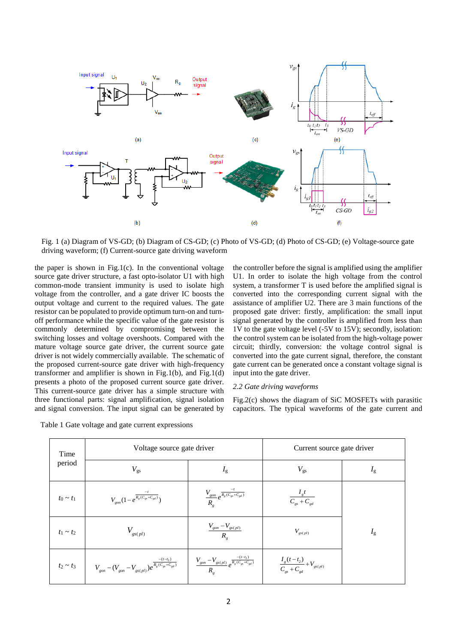

Fig. 1 (a) Diagram of VS-GD; (b) Diagram of CS-GD; (c) Photo of VS-GD; (d) Photo of CS-GD; (e) Voltage-source gate driving waveform; (f) Current-source gate driving waveform

the paper is shown in Fig.1(c). In the conventional voltage source gate driver structure, a fast opto-isolator U1 with high common-mode transient immunity is used to isolate high voltage from the controller, and a gate driver IC boosts the output voltage and current to the required values. The gate resistor can be populated to provide optimum turn-on and turnoff performance while the specific value of the gate resistor is commonly determined by compromising between the switching losses and voltage overshoots. Compared with the mature voltage source gate driver, the current source gate driver is not widely commercially available. The schematic of the proposed current-source gate driver with high-frequency transformer and amplifier is shown in Fig.1(b), and Fig.1(d) presents a photo of the proposed current source gate driver. This current-source gate driver has a simple structure with three functional parts: signal amplification, signal isolation and signal conversion. The input signal can be generated by the controller before the signal is amplified using the amplifier U1. In order to isolate the high voltage from the control system, a transformer T is used before the amplified signal is converted into the corresponding current signal with the assistance of amplifier U2. There are 3 main functions of the proposed gate driver: firstly, amplification: the small input signal generated by the controller is amplified from less than 1V to the gate voltage level (-5V to 15V); secondly, isolation: the control system can be isolated from the high-voltage power circuit; thirdly, conversion: the voltage control signal is converted into the gate current signal, therefore, the constant gate current can be generated once a constant voltage signal is input into the gate driver.

#### *2.2 Gate driving waveforms*

Fig.2(c) shows the diagram of SiC MOSFETs with parasitic capacitors. The typical waveforms of the gate current and

| Time<br>period | Voltage source gate driver                                                                                |                                                                             | Current source gate driver                    |             |
|----------------|-----------------------------------------------------------------------------------------------------------|-----------------------------------------------------------------------------|-----------------------------------------------|-------------|
|                | $V_{\rm gs}$                                                                                              | $I_{\rm g}$                                                                 | $V_{\rm gs}$                                  | $I_{\rm g}$ |
| $t_0 \sim t_1$ | $V_{gon} (1 - e^{\frac{-t}{R_g (C_{gs} + C_{gd})}})$                                                      | $\frac{V_{gon}}{R_{s}}e^{\frac{-t}{R_{s}(C_{gs}+C_{gd})}}$                  | $\frac{I_{g}t}{C_{gs}+C_{gd}}$                |             |
| $t_1 \sim t_2$ | $V_{gs(pl)}$                                                                                              | $\frac{V_{gon} - V_{gs(pl)}}{R_a}$                                          | $V_{\mathit{gs(pl)}}$                         | $I_{\rm g}$ |
|                | $t_2 \sim t_3$ $\left  V_{gon} - (V_{gon} - V_{gs(pl)})e^{\frac{-(t-t_2)}{R_g(C_{gs} + C_{gd})}} \right $ | $\frac{V_{gon} - V_{gs(pl)}}{R_e}e^{\frac{-(t-t_2)}{R_g(C_{gs} + C_{gd})}}$ | $\frac{I_g(t-t_2)}{C_{gs}+C_{gd}}+V_{gs(pl)}$ |             |

Table 1 Gate voltage and gate current expressions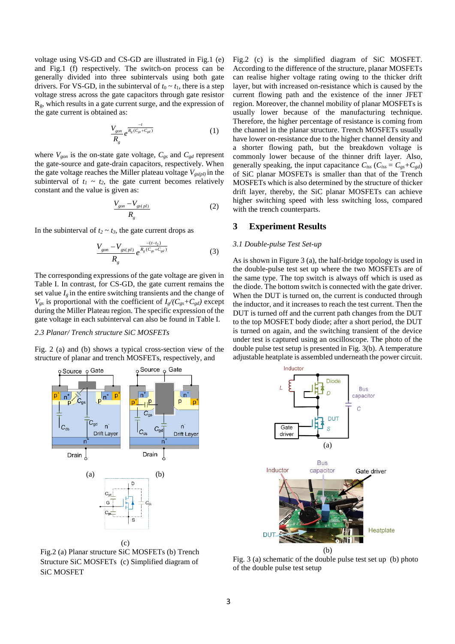voltage using VS-GD and CS-GD are illustrated in Fig.1 (e) and Fig.1 (f) respectively. The switch-on process can be generally divided into three subintervals using both gate drivers. For VS-GD, in the subinterval of  $t_0 \sim t_1$ , there is a step voltage stress across the gate capacitors through gate resistor  $R<sub>g</sub>$ , which results in a gate current surge, and the expression of the gate current is obtained as:

$$
\frac{V_{gon}}{R_g}e^{\frac{-t}{R_g(C_{gs}+C_{gd})}}
$$
 (1)

where  $V_{gon}$  is the on-state gate voltage,  $C_{gs}$  and  $C_{gd}$  represent the gate-source and gate-drain capacitors, respectively. When the gate voltage reaches the Miller plateau voltage  $V_{gs(pl)}$  in the subinterval of  $t_1 \sim t_2$ , the gate current becomes relatively constant and the value is given as:

$$
\frac{V_{gon} - V_{gs(pl)}}{R_g} \tag{2}
$$

In the subinterval of  $t_2 \sim t_3$ , the gate current drops as

$$
\frac{V_{gon} - V_{gs(pl)}}{R_g} e^{\frac{-(t-t_2)}{R_g(C_{gs} + C_{gd})}}
$$
(3)

The corresponding expressions of the gate voltage are given in Table I. In contrast, for CS-GD, the gate current remains the set value  $I_g$  in the entire switching transients and the change of  $V_{gs}$  is proportional with the coefficient of  $I_g/C_{gs} + C_{gd}$  except during the Miller Plateau region. The specific expression of the gate voltage in each subinterval can also be found in Table I.

#### *2.3 Planar/ Trench structure SiC MOSFETs*

Fig. 2 (a) and (b) shows a typical cross-section view of the structure of planar and trench MOSFETs, respectively, and



Fig.2 (a) Planar structure SiC MOSFETs (b) Trench Structure SiC MOSFETs (c) Simplified diagram of SiC MOSFET

(c)

Fig.2 (c) is the simplified diagram of SiC MOSFET. According to the difference of the structure, planar MOSFETs can realise higher voltage rating owing to the thicker drift layer, but with increased on-resistance which is caused by the current flowing path and the existence of the inner JFET region. Moreover, the channel mobility of planar MOSFETs is usually lower because of the manufacturing technique. Therefore, the higher percentage of resistance is coming from the channel in the planar structure. Trench MOSFETs usually have lower on-resistance due to the higher channel density and a shorter flowing path, but the breakdown voltage is commonly lower because of the thinner drift layer. Also, generally speaking, the input capacitance  $C_{iss}$  ( $C_{iss} = C_{gs} + C_{gd}$ ) of SiC planar MOSFETs is smaller than that of the Trench MOSFETs which is also determined by the structure of thicker drift layer, thereby, the SiC planar MOSFETs can achieve higher switching speed with less switching loss, compared with the trench counterparts.

## **3 Experiment Results**

#### *3.1 Double-pulse Test Set-up*

As is shown in Figure 3 (a), the half-bridge topology is used in the double-pulse test set up where the two MOSFETs are of the same type. The top switch is always off which is used as the diode. The bottom switch is connected with the gate driver. When the DUT is turned on, the current is conducted through the inductor, and it increases to reach the test current. Then the DUT is turned off and the current path changes from the DUT to the top MOSFET body diode; after a short period, the DUT is turned on again, and the switching transient of the device under test is captured using an oscilloscope. The photo of the double pulse test setup is presented in Fig. 3(b). A temperature adjustable heatplate is assembled underneath the power circuit.



Fig. 3 (a) schematic of the double pulse test set up (b) photo of the double pulse test setup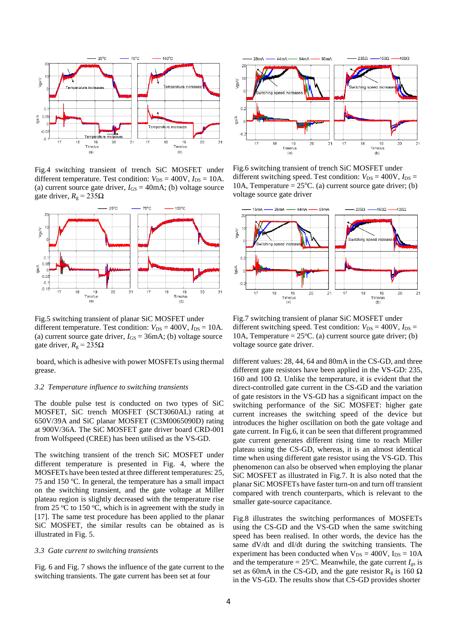

Fig.4 switching transient of trench SiC MOSFET under different temperature. Test condition:  $V_{DS} = 400V$ ,  $I_{DS} = 10A$ . (a) current source gate driver,  $I_{GS} = 40 \text{mA}$ ; (b) voltage source gate driver,  $R_g = 235\Omega$ 



Fig.5 switching transient of planar SiC MOSFET under different temperature. Test condition:  $V_{DS} = 400V$ ,  $I_{DS} = 10A$ . (a) current source gate driver,  $I_{GS} = 36 \text{mA}$ ; (b) voltage source gate driver,  $R_g = 235Ω$ 

board, which is adhesive with power MOSFETs using thermal grease.

#### *3.2 Temperature influence to switching transients*

The double pulse test is conducted on two types of SiC MOSFET, SiC trench MOSFET (SCT3060AL) rating at 650V/39A and SiC planar MOSFET (C3M0065090D) rating at 900V/36A. The SiC MOSFET gate driver board CRD-001 from Wolfspeed (CREE) has been utilised as the VS-GD.

The switching transient of the trench SiC MOSFET under different temperature is presented in Fig. 4, where the MOSFETs have been tested at three different temperatures: 25, 75 and 150  $^{\circ}$ C. In general, the temperature has a small impact on the switching transient, and the gate voltage at Miller plateau region is slightly decreased with the temperature rise from 25  $\mathrm{C}$  to 150  $\mathrm{C}$ , which is in agreement with the study in [17]. The same test procedure has been applied to the planar SiC MOSFET, the similar results can be obtained as is illustrated in Fig. 5.

#### *3.3 Gate current to switching transients*

Fig. 6 and Fig. 7 shows the influence of the gate current to the switching transients. The gate current has been set at four



Fig.6 switching transient of trench SiC MOSFET under different switching speed. Test condition:  $V_{DS} = 400V$ ,  $I_{DS} =$ 10A, Temperature =  $25^{\circ}$ C. (a) current source gate driver; (b) voltage source gate driver



Fig.7 switching transient of planar SiC MOSFET under different switching speed. Test condition:  $V_{DS} = 400V$ ,  $I_{DS} =$ 10A, Temperature =  $25^{\circ}$ C. (a) current source gate driver; (b) voltage source gate driver.

different values: 28, 44, 64 and 80mA in the CS-GD, and three different gate resistors have been applied in the VS-GD: 235, 160 and 100 Ω. Unlike the temperature, it is evident that the direct-controlled gate current in the CS-GD and the variation of gate resistors in the VS-GD has a significant impact on the switching performance of the SiC MOSFET: higher gate current increases the switching speed of the device but introduces the higher oscillation on both the gate voltage and gate current. In Fig.6, it can be seen that different programmed gate current generates different rising time to reach Miller plateau using the CS-GD, whereas, it is an almost identical time when using different gate resistor using the VS-GD. This phenomenon can also be observed when employing the planar SiC MOSFET as illustrated in Fig.7. It is also noted that the planar SiC MOSFETs have faster turn-on and turn off transient compared with trench counterparts, which is relevant to the smaller gate-source capacitance.

Fig.8 illustrates the switching performances of MOSFETs using the CS-GD and the VS-GD when the same switching speed has been realised. In other words, the device has the same dV/dt and dI/dt during the switching transients. The experiment has been conducted when  $V_{DS} = 400V$ ,  $I_{DS} = 10A$ and the temperature =  $25^{\circ}$ C. Meanwhile, the gate current  $I_{gs}$  is set as 60mA in the CS-GD, and the gate resistor  $R_g$  is 160  $\Omega$ in the VS-GD. The results show that CS-GD provides shorter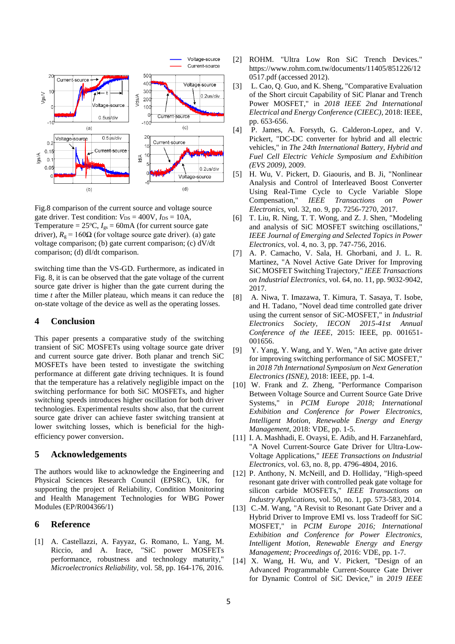

Fig.8 comparison of the current source and voltage source gate driver. Test condition:  $V_{DS} = 400V$ ,  $I_{DS} = 10A$ , Temperature =  $25^{\circ}$ C,  $I_{gs}$  = 60mA (for current source gate driver),  $R_g = 160Ω$  (for voltage source gate driver). (a) gate voltage comparison; (b) gate current comparison; (c) dV/dt comparison; (d) dI/dt comparison.

switching time than the VS-GD. Furthermore, as indicated in Fig. 8, it is can be observed that the gate voltage of the current source gate driver is higher than the gate current during the time *t* after the Miller plateau, which means it can reduce the on-state voltage of the device as well as the operating losses.

## **4 Conclusion**

This paper presents a comparative study of the switching transient of SiC MOSFETs using voltage source gate driver and current source gate driver. Both planar and trench SiC MOSFETs have been tested to investigate the switching performance at different gate driving techniques. It is found that the temperature has a relatively negligible impact on the switching performance for both SiC MOSFETs, and higher switching speeds introduces higher oscillation for both driver technologies. Experimental results show also, that the current source gate driver can achieve faster switching transient at lower switching losses, which is beneficial for the highefficiency power conversion.

## **5 Acknowledgements**

The authors would like to acknowledge the Engineering and Physical Sciences Research Council (EPSRC), UK, for supporting the project of Reliability, Condition Monitoring and Health Management Technologies for WBG Power Modules (EP/R004366/1)

# **6 Reference**

[1] A. Castellazzi, A. Fayyaz, G. Romano, L. Yang, M. Riccio, and A. Irace, "SiC power MOSFETs performance, robustness and technology maturity," *Microelectronics Reliability,* vol. 58, pp. 164-176, 2016.

- [2] ROHM. "Ultra Low Ron SiC Trench Devices." https://www.rohm.com.tw/documents/11405/851226/12 0517.pdf (accessed 2012).
- [3] L. Cao, Q. Guo, and K. Sheng, "Comparative Evaluation of the Short circuit Capability of SiC Planar and Trench Power MOSFET," in *2018 IEEE 2nd International Electrical and Energy Conference (CIEEC)*, 2018: IEEE, pp. 653-656.
- [4] P. James, A. Forsyth, G. Calderon-Lopez, and V. Pickert, "DC-DC converter for hybrid and all electric vehicles," in *The 24th International Battery, Hybrid and Fuel Cell Electric Vehicle Symposium and Exhibition (EVS 2009)*, 2009.
- [5] H. Wu, V. Pickert, D. Giaouris, and B. Ji, "Nonlinear Analysis and Control of Interleaved Boost Converter Using Real-Time Cycle to Cycle Variable Slope Compensation," *IEEE Transactions on Power Electronics,* vol. 32, no. 9, pp. 7256-7270, 2017.
- [6] T. Liu, R. Ning, T. T. Wong, and Z. J. Shen, "Modeling and analysis of SiC MOSFET switching oscillations," *IEEE Journal of Emerging and Selected Topics in Power Electronics,* vol. 4, no. 3, pp. 747-756, 2016.
- [7] A. P. Camacho, V. Sala, H. Ghorbani, and J. L. R. Martinez, "A Novel Active Gate Driver for Improving SiC MOSFET Switching Trajectory," *IEEE Transactions on Industrial Electronics,* vol. 64, no. 11, pp. 9032-9042, 2017.
- [8] A. Niwa, T. Imazawa, T. Kimura, T. Sasaya, T. Isobe, and H. Tadano, "Novel dead time controlled gate driver using the current sensor of SiC-MOSFET," in *Industrial Electronics Society, IECON 2015-41st Annual Conference of the IEEE*, 2015: IEEE, pp. 001651- 001656.
- [9] Y. Yang, Y. Wang, and Y. Wen, "An active gate driver for improving switching performance of SiC MOSFET," in *2018 7th International Symposium on Next Generation Electronics (ISNE)*, 2018: IEEE, pp. 1-4.
- [10] W. Frank and Z. Zheng, "Performance Comparison Between Voltage Source and Current Source Gate Drive Systems," in *PCIM Europe 2018; International Exhibition and Conference for Power Electronics, Intelligent Motion, Renewable Energy and Energy Management*, 2018: VDE, pp. 1-5.
- [11] I. A. Mashhadi, E. Ovaysi, E. Adib, and H. Farzanehfard, "A Novel Current-Source Gate Driver for Ultra-Low-Voltage Applications," *IEEE Transactions on Industrial Electronics,* vol. 63, no. 8, pp. 4796-4804, 2016.
- [12] P. Anthony, N. McNeill, and D. Holliday, "High-speed resonant gate driver with controlled peak gate voltage for silicon carbide MOSFETs," *IEEE Transactions on Industry Applications,* vol. 50, no. 1, pp. 573-583, 2014.
- [13] C.-M. Wang, "A Revisit to Resonant Gate Driver and a Hybrid Driver to Improve EMI vs. loss Tradeoff for SiC MOSFET," in *PCIM Europe 2016; International Exhibition and Conference for Power Electronics, Intelligent Motion, Renewable Energy and Energy Management; Proceedings of*, 2016: VDE, pp. 1-7.
- [14] X. Wang, H. Wu, and V. Pickert, "Design of an Advanced Programmable Current-Source Gate Driver for Dynamic Control of SiC Device," in *2019 IEEE*